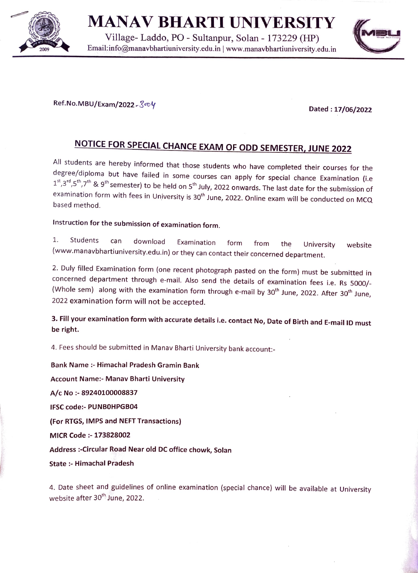

MANAV BHARTI UNIVERSITY

Village- Laddo, PO - Sultanpur, Solan - 173229 (HP) Email:info@manavbhatiuniversity.edu.in | www.manavbhartiuniversity.edu.in 2009



 $Ref No.MBU/Exam/2022-\mathcal{S}^{op}V$ 

NOTICE FOR SPECIAL CHANCE EXAM OF ODD SEMESTER, JUNE 2022<br>All students are hereby informed that those students who have completed their courses for the degree/diploma but have failed in some courses can apply for special chance Examination (i.e  $1^{st}, 3^{rd}, 5^{th}, 7^{th}$  & 9<sup>th</sup> semester) to be held on 5<sup>th</sup> July, 2022 onwards. The last date for the submission of examination form with fees in University is 30<sup>th</sup> June, 2022. Online exam will be conducted on MCQ<br>based method.

## Instruction for the submission of examination form.

. Students can download Examination form from the University (www.manavbhartiuniversity.edu.in) or they can contact their concerned department. website

2. Duly filled Examination form (one recent photograph pasted on the form) must be submitted in concerned department through e-mail. Also send the details of examination fees i.e. Rs 5000/- (Whole sem) along with the examination form through e-mail by  $30<sup>th</sup>$  June, 2022. After  $30<sup>th</sup>$  June, 2022 examination form will not be accepted.

3. Fill your examination form with accurate details i.e. contact No, Date of Birth and E-mail ID must be right.

4. Fees should be submitted in Manav Bharti University bank account:

Bank Name - Himachal Pradesh Gramin Bank Account Name:- Manav Bharti University A/c No-89240100008837 IFSC code:- PUNBOHPGB04 (For RTGS, IMPS and NEFT Transactions) MICR Code :-173828002 Address :-Circular Road Near old DC office chowk, Solan State :- Himachal Pradesh

4. Date sheet and guidelines of online examination (special chance) will be available at University website after 30<sup>th</sup> June, 2022.